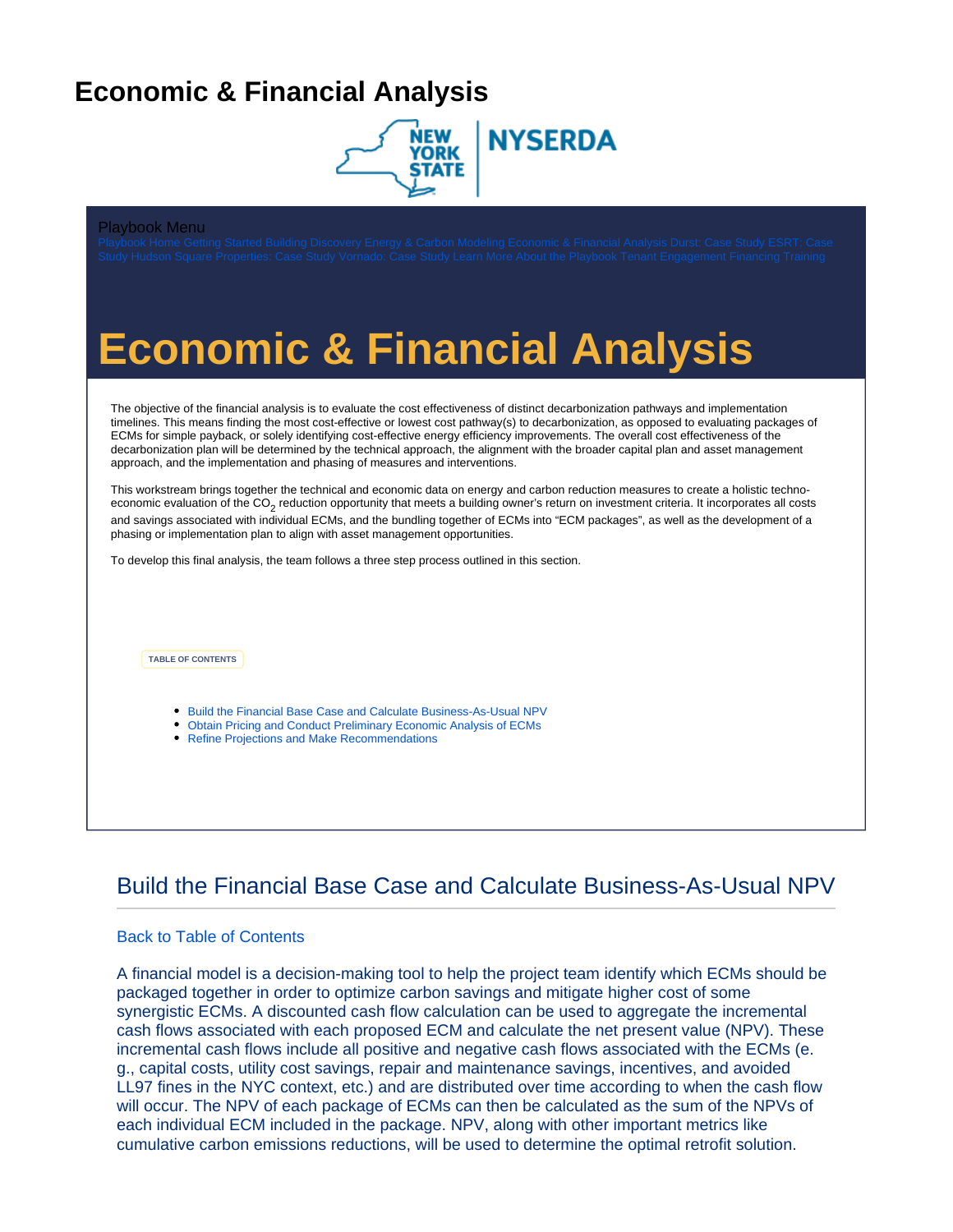## <span id="page-0-0"></span>**Economic & Financial Analysis**



#### Playbook Menu

# **Economic & Financial Analysis**

The objective of the financial analysis is to evaluate the cost effectiveness of distinct decarbonization pathways and implementation timelines. This means finding the most cost-effective or lowest cost pathway(s) to decarbonization, as opposed to evaluating packages of ECMs for simple payback, or solely identifying cost-effective energy efficiency improvements. The overall cost effectiveness of the decarbonization plan will be determined by the technical approach, the alignment with the broader capital plan and asset management approach, and the implementation and phasing of measures and interventions.

This workstream brings together the technical and economic data on energy and carbon reduction measures to create a holistic technoeconomic evaluation of the CO<sub>2</sub> reduction opportunity that meets a building owner's return on investment criteria. It incorporates all costs and savings associated with individual ECMs, and the bundling together of ECMs into "ECM packages", as well as the development of a phasing or implementation plan to align with asset management opportunities.

<span id="page-0-2"></span>To develop this final analysis, the team follows a three step process outlined in this section.

**TABLE OF CONTENTS**

- [Build the Financial Base Case and Calculate Business-As-Usual NPV](#page-0-1)
- [Obtain Pricing and Conduct Preliminary Economic Analysis of ECMs](#page-2-0)
- [Refine Projections and Make Recommendations](#page-5-0)

## <span id="page-0-1"></span>Build the Financial Base Case and Calculate Business-As-Usual NPV

#### [Back to Table of Contents](#page-0-2)

A financial model is a decision-making tool to help the project team identify which ECMs should be packaged together in order to optimize carbon savings and mitigate higher cost of some synergistic ECMs. A discounted cash flow calculation can be used to aggregate the incremental cash flows associated with each proposed ECM and calculate the net present value (NPV). These incremental cash flows include all positive and negative cash flows associated with the ECMs (e. g., capital costs, utility cost savings, repair and maintenance savings, incentives, and avoided LL97 fines in the NYC context, etc.) and are distributed over time according to when the cash flow will occur. The NPV of each package of ECMs can then be calculated as the sum of the NPVs of each individual ECM included in the package. NPV, along with other important metrics like cumulative carbon emissions reductions, will be used to determine the optimal retrofit solution.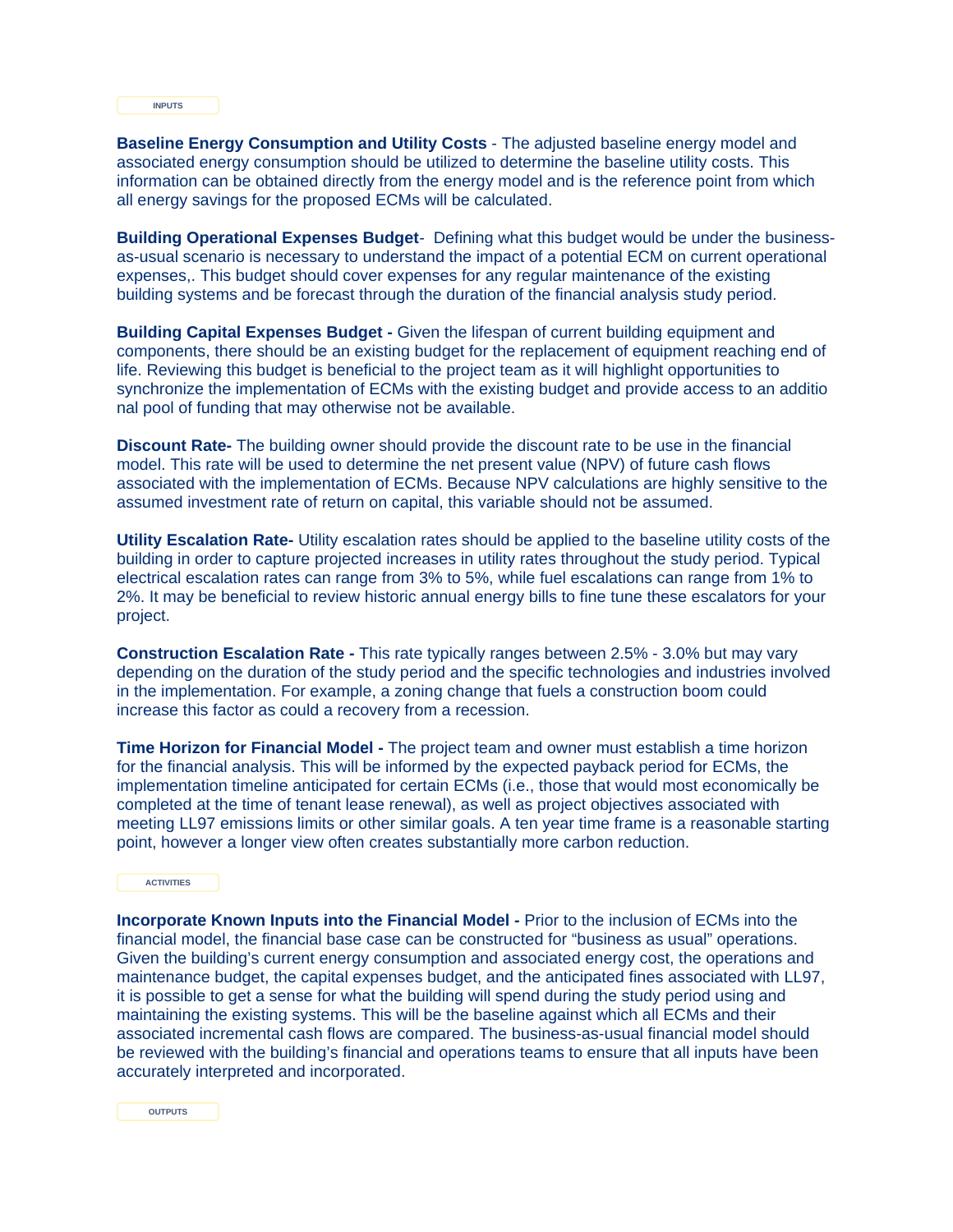**INPUTS**

**Baseline Energy Consumption and Utility Costs** - The adjusted baseline energy model and associated energy consumption should be utilized to determine the baseline utility costs. This information can be obtained directly from the energy model and is the reference point from which all energy savings for the proposed ECMs will be calculated.

**Building Operational Expenses Budget**- Defining what this budget would be under the businessas-usual scenario is necessary to understand the impact of a potential ECM on current operational expenses,. This budget should cover expenses for any regular maintenance of the existing building systems and be forecast through the duration of the financial analysis study period.

**Building Capital Expenses Budget -** Given the lifespan of current building equipment and components, there should be an existing budget for the replacement of equipment reaching end of life. Reviewing this budget is beneficial to the project team as it will highlight opportunities to synchronize the implementation of ECMs with the existing budget and provide access to an additio nal pool of funding that may otherwise not be available.

**Discount Rate-** The building owner should provide the discount rate to be use in the financial model. This rate will be used to determine the net present value (NPV) of future cash flows associated with the implementation of ECMs. Because NPV calculations are highly sensitive to the assumed investment rate of return on capital, this variable should not be assumed.

**Utility Escalation Rate-** Utility escalation rates should be applied to the baseline utility costs of the building in order to capture projected increases in utility rates throughout the study period. Typical electrical escalation rates can range from 3% to 5%, while fuel escalations can range from 1% to 2%. It may be beneficial to review historic annual energy bills to fine tune these escalators for your project.

**Construction Escalation Rate** - This rate typically ranges between 2.5% - 3.0% but may vary depending on the duration of the study period and the specific technologies and industries involved in the implementation. For example, a zoning change that fuels a construction boom could increase this factor as could a recovery from a recession.

**Time Horizon for Financial Model -** The project team and owner must establish a time horizon for the financial analysis. This will be informed by the expected payback period for ECMs, the implementation timeline anticipated for certain ECMs (i.e., those that would most economically be completed at the time of tenant lease renewal), as well as project objectives associated with meeting LL97 emissions limits or other similar goals. A ten year time frame is a reasonable starting point, however a longer view often creates substantially more carbon reduction.

**ACTIVITIES**

**Incorporate Known Inputs into the Financial Model - Prior to the inclusion of ECMs into the** financial model, the financial base case can be constructed for "business as usual" operations. Given the building's current energy consumption and associated energy cost, the operations and maintenance budget, the capital expenses budget, and the anticipated fines associated with LL97, it is possible to get a sense for what the building will spend during the study period using and maintaining the existing systems. This will be the baseline against which all ECMs and their associated incremental cash flows are compared. The business-as-usual financial model should be reviewed with the building's financial and operations teams to ensure that all inputs have been accurately interpreted and incorporated.

**OUTPUTS**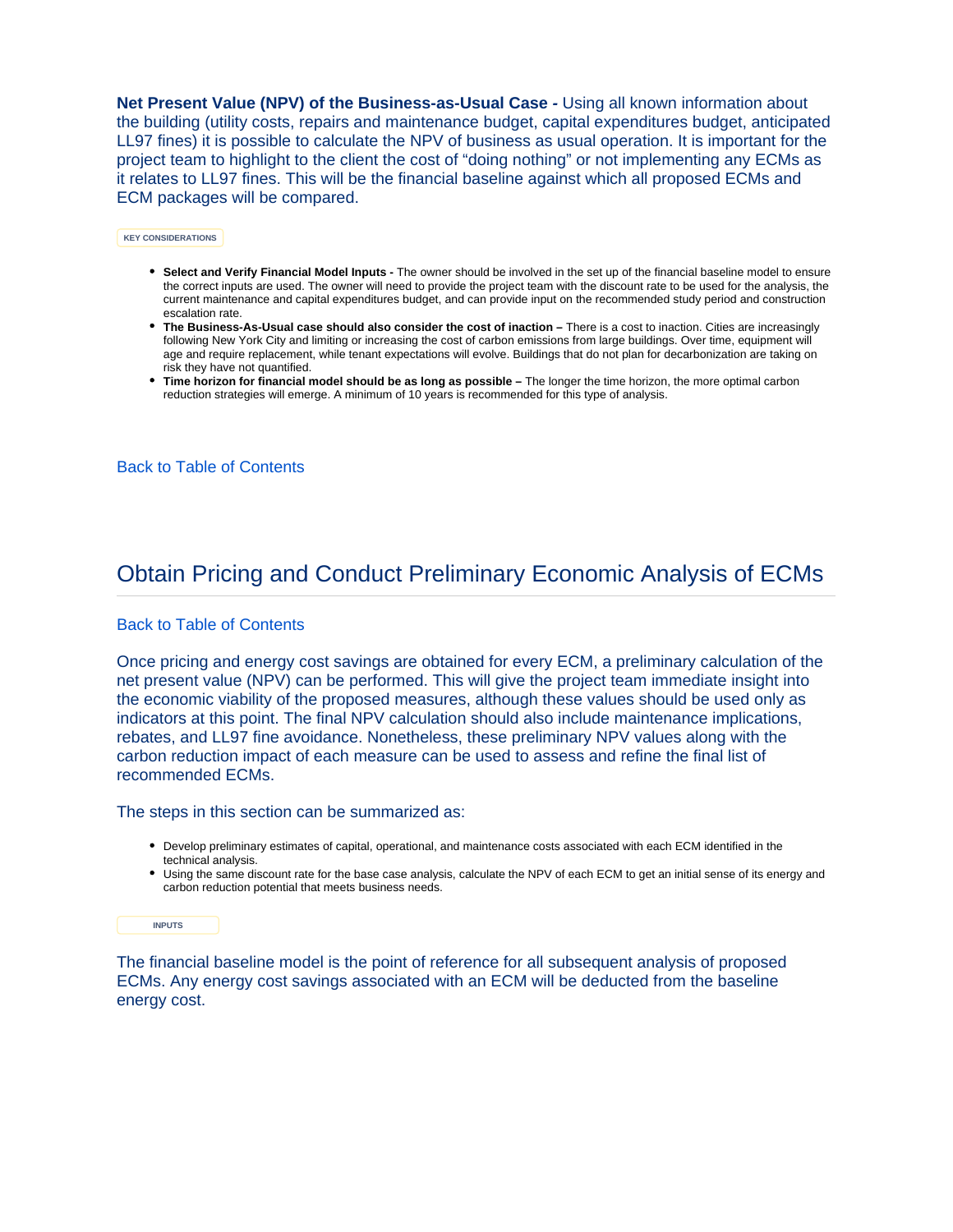**Net Present Value (NPV) of the Business-as-Usual Case -** Using all known information about the building (utility costs, repairs and maintenance budget, capital expenditures budget, anticipated LL97 fines) it is possible to calculate the NPV of business as usual operation. It is important for the project team to highlight to the client the cost of "doing nothing" or not implementing any ECMs as it relates to LL97 fines. This will be the financial baseline against which all proposed ECMs and ECM packages will be compared.

**KEY CONSIDERATIONS**

- **Select and Verify Financial Model Inputs -** The owner should be involved in the set up of the financial baseline model to ensure the correct inputs are used. The owner will need to provide the project team with the discount rate to be used for the analysis, the current maintenance and capital expenditures budget, and can provide input on the recommended study period and construction escalation rate.
- **The Business-As-Usual case should also consider the cost of inaction** There is a cost to inaction. Cities are increasingly following New York City and limiting or increasing the cost of carbon emissions from large buildings. Over time, equipment will age and require replacement, while tenant expectations will evolve. Buildings that do not plan for decarbonization are taking on risk they have not quantified.
- **Time horizon for financial model should be as long as possible** The longer the time horizon, the more optimal carbon reduction strategies will emerge. A minimum of 10 years is recommended for this type of analysis.

#### [Back to Table of Contents](#page-0-2)

### <span id="page-2-0"></span>Obtain Pricing and Conduct Preliminary Economic Analysis of ECMs

#### [Back to Table of Contents](#page-0-2)

Once pricing and energy cost savings are obtained for every ECM, a preliminary calculation of the net present value (NPV) can be performed. This will give the project team immediate insight into the economic viability of the proposed measures, although these values should be used only as indicators at this point. The final NPV calculation should also include maintenance implications, rebates, and LL97 fine avoidance. Nonetheless, these preliminary NPV values along with the carbon reduction impact of each measure can be used to assess and refine the final list of recommended ECMs.

The steps in this section can be summarized as:

- Develop preliminary estimates of capital, operational, and maintenance costs associated with each ECM identified in the technical analysis.
- Using the same discount rate for the base case analysis, calculate the NPV of each ECM to get an initial sense of its energy and carbon reduction potential that meets business needs.

**INPUTS**

The financial baseline model is the point of reference for all subsequent analysis of proposed ECMs. Any energy cost savings associated with an ECM will be deducted from the baseline energy cost.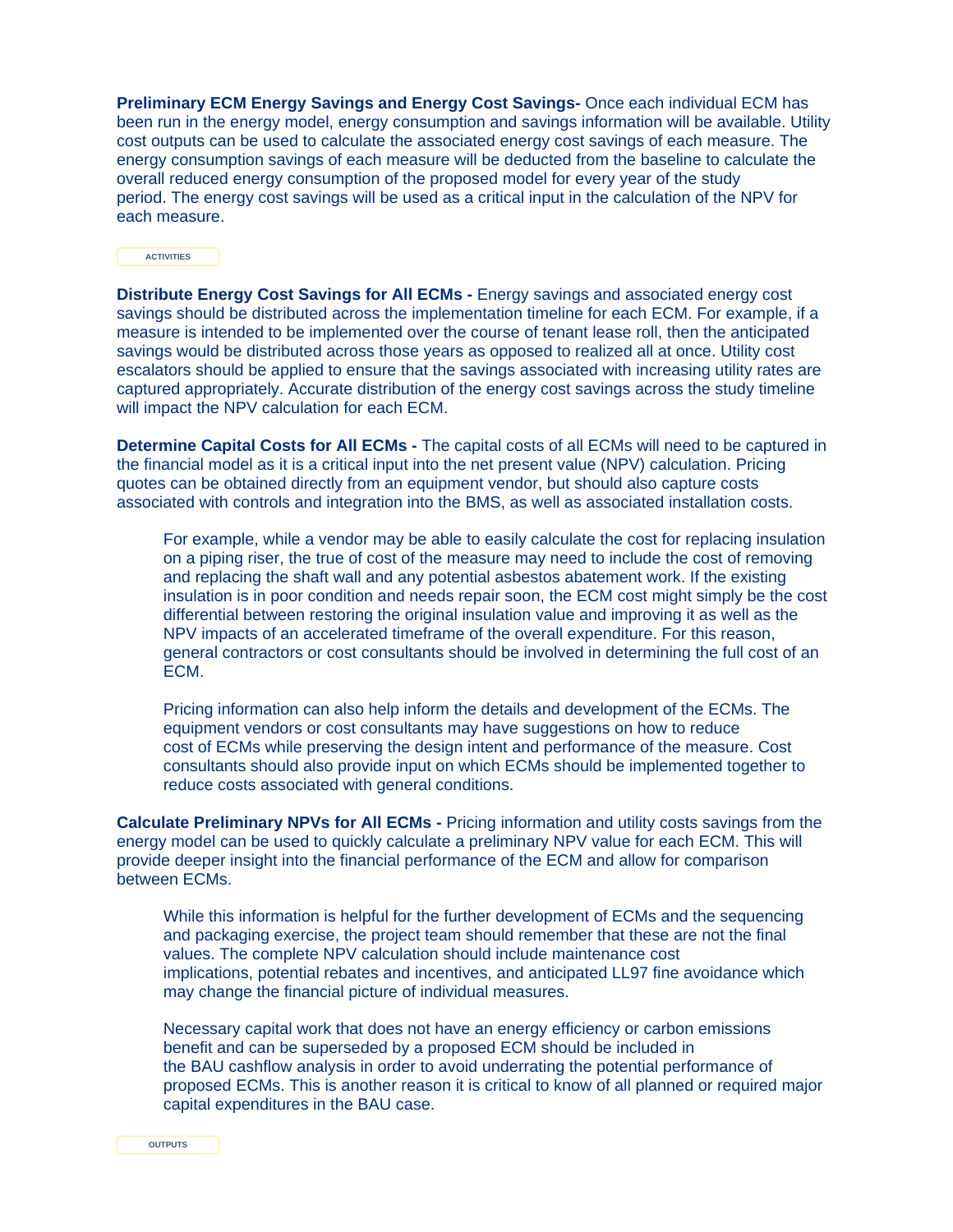**Preliminary ECM Energy Savings and Energy Cost Savings-** Once each individual ECM has been run in the energy model, energy consumption and savings information will be available. Utility cost outputs can be used to calculate the associated energy cost savings of each measure. The energy consumption savings of each measure will be deducted from the baseline to calculate the overall reduced energy consumption of the proposed model for every year of the study period. The energy cost savings will be used as a critical input in the calculation of the NPV for each measure.

**ACTIVITIES**

**Distribute Energy Cost Savings for All ECMs -** Energy savings and associated energy cost savings should be distributed across the implementation timeline for each ECM. For example, if a measure is intended to be implemented over the course of tenant lease roll, then the anticipated savings would be distributed across those years as opposed to realized all at once. Utility cost escalators should be applied to ensure that the savings associated with increasing utility rates are captured appropriately. Accurate distribution of the energy cost savings across the study timeline will impact the NPV calculation for each ECM.

**Determine Capital Costs for All ECMs -** The capital costs of all ECMs will need to be captured in the financial model as it is a critical input into the net present value (NPV) calculation. Pricing quotes can be obtained directly from an equipment vendor, but should also capture costs associated with controls and integration into the BMS, as well as associated installation costs.

For example, while a vendor may be able to easily calculate the cost for replacing insulation on a piping riser, the true of cost of the measure may need to include the cost of removing and replacing the shaft wall and any potential asbestos abatement work. If the existing insulation is in poor condition and needs repair soon, the ECM cost might simply be the cost differential between restoring the original insulation value and improving it as well as the NPV impacts of an accelerated timeframe of the overall expenditure. For this reason, general contractors or cost consultants should be involved in determining the full cost of an ECM.

Pricing information can also help inform the details and development of the ECMs. The equipment vendors or cost consultants may have suggestions on how to reduce cost of ECMs while preserving the design intent and performance of the measure. Cost consultants should also provide input on which ECMs should be implemented together to reduce costs associated with general conditions.

**Calculate Preliminary NPVs for All ECMs -** Pricing information and utility costs savings from the energy model can be used to quickly calculate a preliminary NPV value for each ECM. This will provide deeper insight into the financial performance of the ECM and allow for comparison between ECMs.

While this information is helpful for the further development of ECMs and the sequencing and packaging exercise, the project team should remember that these are not the final values. The complete NPV calculation should include maintenance cost implications, potential rebates and incentives, and anticipated LL97 fine avoidance which may change the financial picture of individual measures.

Necessary capital work that does not have an energy efficiency or carbon emissions benefit and can be superseded by a proposed ECM should be included in the BAU cashflow analysis in order to avoid underrating the potential performance of proposed ECMs. This is another reason it is critical to know of all planned or required major capital expenditures in the BAU case.

**OUTPUTS**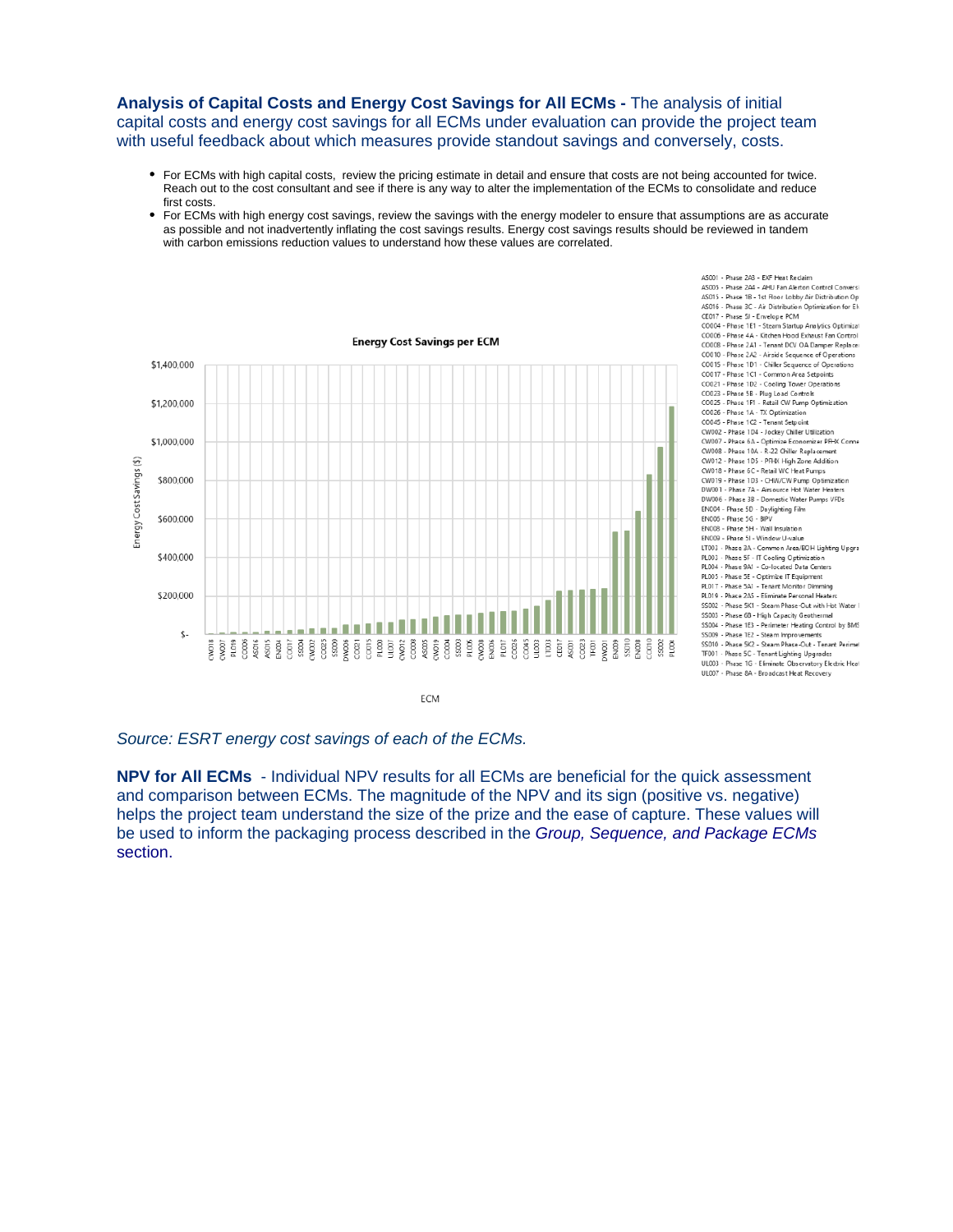#### **Analysis of Capital Costs and Energy Cost Savings for All ECMs -** The analysis of initial capital costs and energy cost savings for all ECMs under evaluation can provide the project team with useful feedback about which measures provide standout savings and conversely, costs.

- For ECMs with high capital costs, review the pricing estimate in detail and ensure that costs are not being accounted for twice. Reach out to the cost consultant and see if there is any way to alter the implementation of the ECMs to consolidate and reduce first costs.
- For ECMs with high energy cost savings, review the savings with the energy modeler to ensure that assumptions are as accurate as possible and not inadvertently inflating the cost savings results. Energy cost savings results should be reviewed in tandem with carbon emissions reduction values to understand how these values are correlated.

AS001 - Phase 2A3 - EXF Heat Reclaim



Source: ESRT energy cost savings of each of the ECMs.

**NPV for All ECMs** - Individual NPV results for all ECMs are beneficial for the quick assessment and comparison between ECMs. The magnitude of the NPV and its sign (positive vs. negative) helps the project team understand the size of the prize and the ease of capture. These values will be used to inform the packaging process described in the Group, Sequence, and Package ECMs section.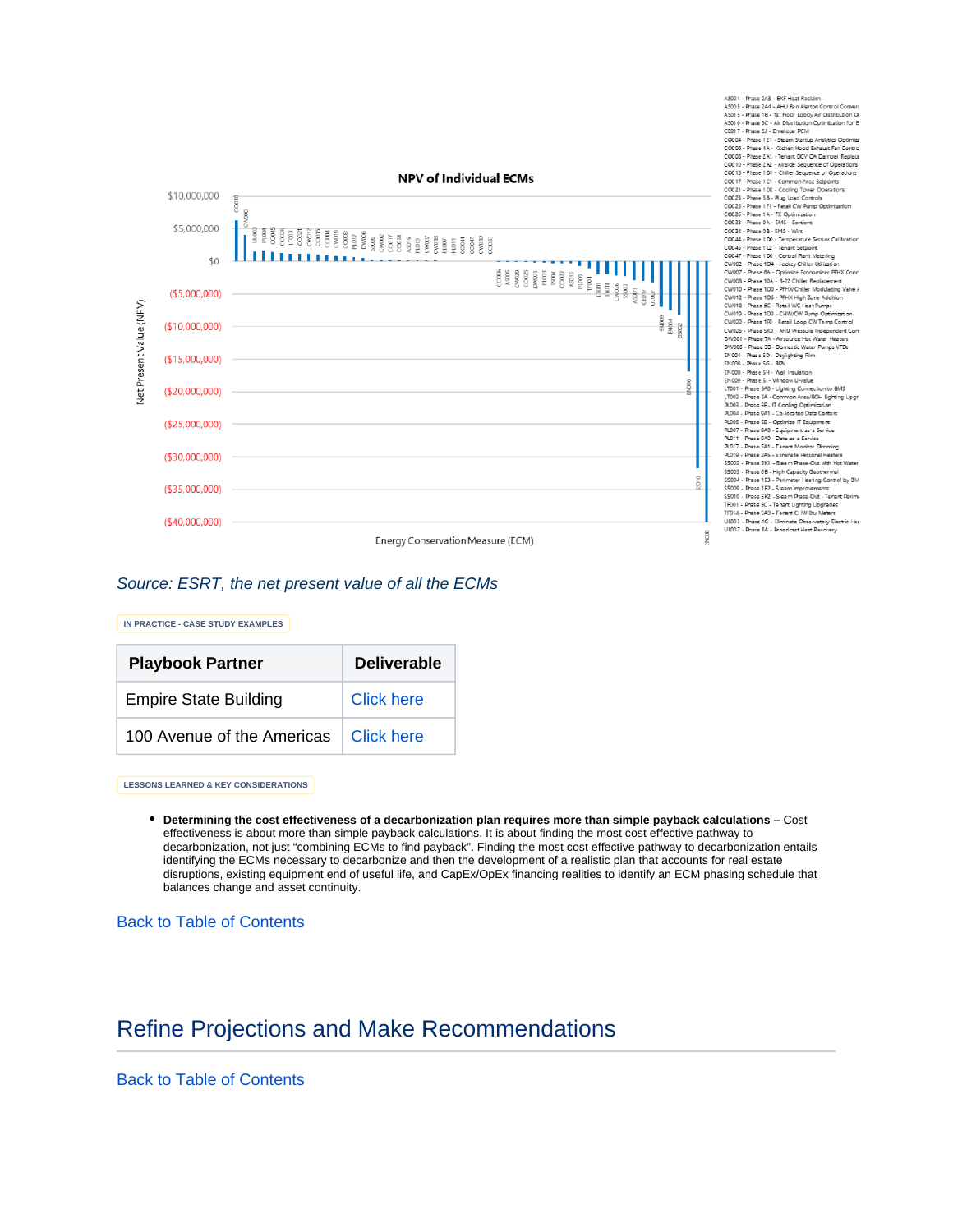

AS001 - Phase 2A3 - EXF Heat Reclain

#### Source: ESRT, the net present value of all the ECMs

**IN PRACTICE - CASE STUDY EXAMPLES**

| <b>Playbook Partner</b>      | <b>Deliverable</b> |
|------------------------------|--------------------|
| <b>Empire State Building</b> | <b>Click here</b>  |
| 100 Avenue of the Americas   | ∣ Click here       |

**LESSONS LEARNED & KEY CONSIDERATIONS**

**Determining the cost effectiveness of a decarbonization plan requires more than simple payback calculations –** Cost effectiveness is about more than simple payback calculations. It is about finding the most cost effective pathway to decarbonization, not just "combining ECMs to find payback". Finding the most cost effective pathway to decarbonization entails identifying the ECMs necessary to decarbonize and then the development of a realistic plan that accounts for real estate disruptions, existing equipment end of useful life, and CapEx/OpEx financing realities to identify an ECM phasing schedule that balances change and asset continuity.

[Back to Table of Contents](#page-0-2)

## <span id="page-5-0"></span>Refine Projections and Make Recommendations

[Back to Table of Contents](#page-0-2)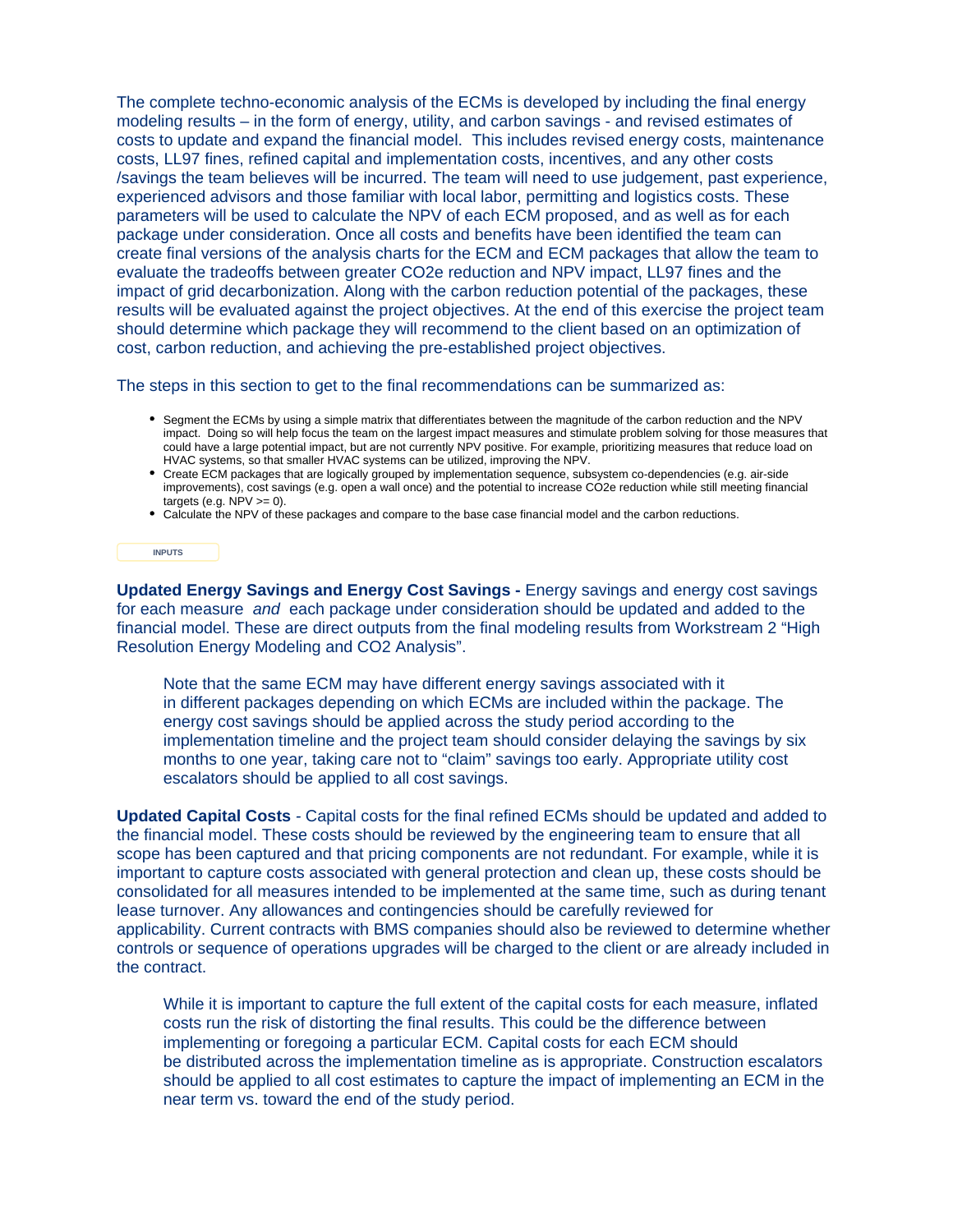The complete techno-economic analysis of the ECMs is developed by including the final energy modeling results – in the form of energy, utility, and carbon savings - and revised estimates of costs to update and expand the financial model. This includes revised energy costs, maintenance costs, LL97 fines, refined capital and implementation costs, incentives, and any other costs /savings the team believes will be incurred. The team will need to use judgement, past experience, experienced advisors and those familiar with local labor, permitting and logistics costs. These parameters will be used to calculate the NPV of each ECM proposed, and as well as for each package under consideration. Once all costs and benefits have been identified the team can create final versions of the analysis charts for the ECM and ECM packages that allow the team to evaluate the tradeoffs between greater CO2e reduction and NPV impact, LL97 fines and the impact of grid decarbonization. Along with the carbon reduction potential of the packages, these results will be evaluated against the project objectives. At the end of this exercise the project team should determine which package they will recommend to the client based on an optimization of cost, carbon reduction, and achieving the pre-established project objectives.

The steps in this section to get to the final recommendations can be summarized as:

- Segment the ECMs by using a simple matrix that differentiates between the magnitude of the carbon reduction and the NPV impact. Doing so will help focus the team on the largest impact measures and stimulate problem solving for those measures that could have a large potential impact, but are not currently NPV positive. For example, prioritizing measures that reduce load on HVAC systems, so that smaller HVAC systems can be utilized, improving the NPV.
- Create ECM packages that are logically grouped by implementation sequence, subsystem co-dependencies (e.g. air-side improvements), cost savings (e.g. open a wall once) and the potential to increase CO2e reduction while still meeting financial targets (e.g.  $NPV >= 0$ ).
- Calculate the NPV of these packages and compare to the base case financial model and the carbon reductions.

#### **INPUTS**

**Updated Energy Savings and Energy Cost Savings -** Energy savings and energy cost savings for each measure and each package under consideration should be updated and added to the financial model. These are direct outputs from the final modeling results from Workstream 2 "High Resolution Energy Modeling and CO2 Analysis".

Note that the same ECM may have different energy savings associated with it in different packages depending on which ECMs are included within the package. The energy cost savings should be applied across the study period according to the implementation timeline and the project team should consider delaying the savings by six months to one year, taking care not to "claim" savings too early. Appropriate utility cost escalators should be applied to all cost savings.

**Updated Capital Costs** - Capital costs for the final refined ECMs should be updated and added to the financial model. These costs should be reviewed by the engineering team to ensure that all scope has been captured and that pricing components are not redundant. For example, while it is important to capture costs associated with general protection and clean up, these costs should be consolidated for all measures intended to be implemented at the same time, such as during tenant lease turnover. Any allowances and contingencies should be carefully reviewed for applicability. Current contracts with BMS companies should also be reviewed to determine whether controls or sequence of operations upgrades will be charged to the client or are already included in the contract.

While it is important to capture the full extent of the capital costs for each measure, inflated costs run the risk of distorting the final results. This could be the difference between implementing or foregoing a particular ECM. Capital costs for each ECM should be distributed across the implementation timeline as is appropriate. Construction escalators should be applied to all cost estimates to capture the impact of implementing an ECM in the near term vs. toward the end of the study period.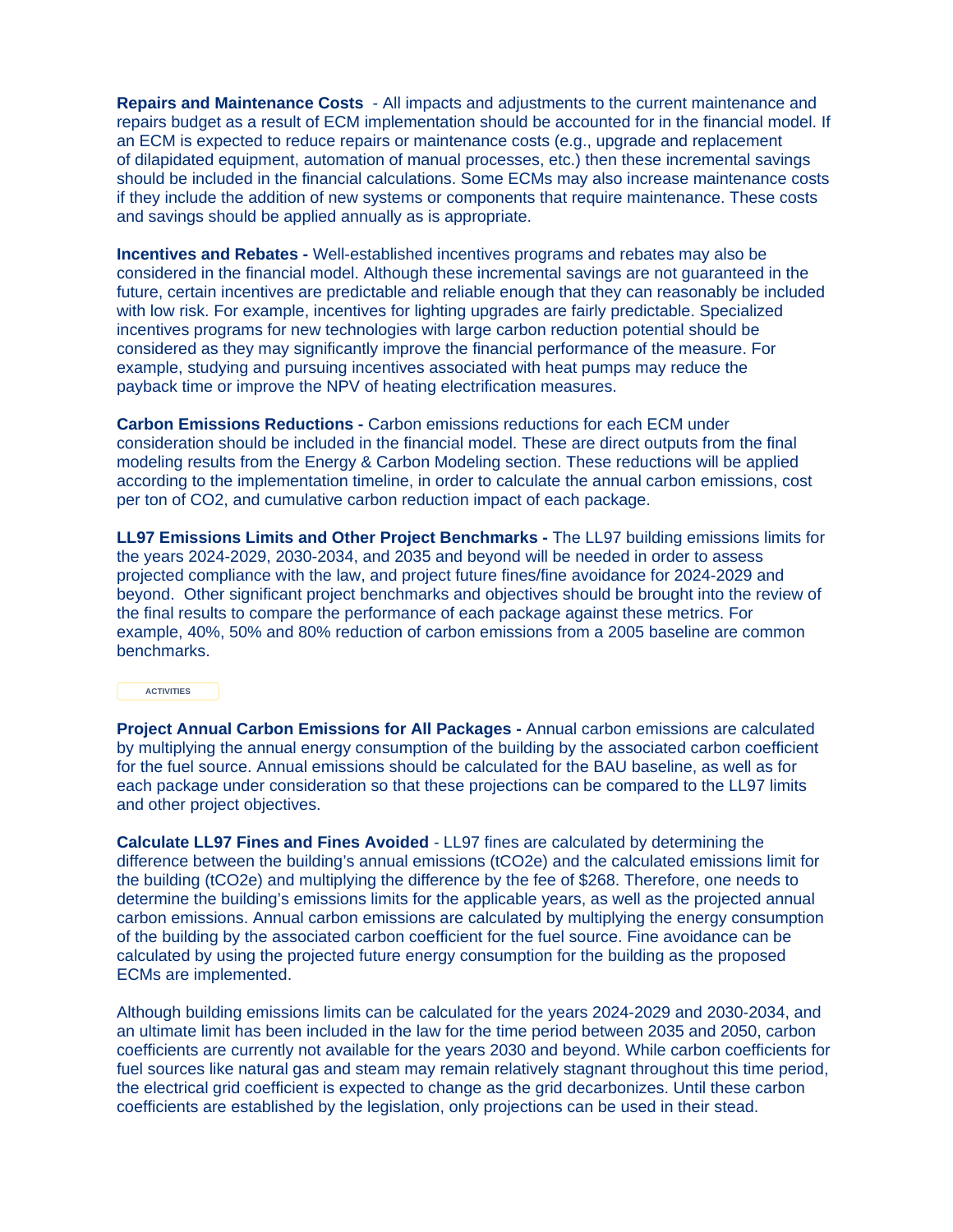**Repairs and Maintenance Costs** - All impacts and adjustments to the current maintenance and repairs budget as a result of ECM implementation should be accounted for in the financial model. If an ECM is expected to reduce repairs or maintenance costs (e.g., upgrade and replacement of dilapidated equipment, automation of manual processes, etc.) then these incremental savings should be included in the financial calculations. Some ECMs may also increase maintenance costs if they include the addition of new systems or components that require maintenance. These costs and savings should be applied annually as is appropriate.

**Incentives and Rebates -** Well-established incentives programs and rebates may also be considered in the financial model. Although these incremental savings are not guaranteed in the future, certain incentives are predictable and reliable enough that they can reasonably be included with low risk. For example, incentives for lighting upgrades are fairly predictable. Specialized incentives programs for new technologies with large carbon reduction potential should be considered as they may significantly improve the financial performance of the measure. For example, studying and pursuing incentives associated with heat pumps may reduce the payback time or improve the NPV of heating electrification measures.

**Carbon Emissions Reductions -** Carbon emissions reductions for each ECM under consideration should be included in the financial model. These are direct outputs from the final modeling results from the Energy & Carbon Modeling section. These reductions will be applied according to the implementation timeline, in order to calculate the annual carbon emissions, cost per ton of CO2, and cumulative carbon reduction impact of each package.

**LL97 Emissions Limits and Other Project Benchmarks -** The LL97 building emissions limits for the years 2024-2029, 2030-2034, and 2035 and beyond will be needed in order to assess projected compliance with the law, and project future fines/fine avoidance for 2024-2029 and beyond. Other significant project benchmarks and objectives should be brought into the review of the final results to compare the performance of each package against these metrics. For example, 40%, 50% and 80% reduction of carbon emissions from a 2005 baseline are common benchmarks.

#### **ACTIVITIES**

**Project Annual Carbon Emissions for All Packages -** Annual carbon emissions are calculated by multiplying the annual energy consumption of the building by the associated carbon coefficient for the fuel source. Annual emissions should be calculated for the BAU baseline, as well as for each package under consideration so that these projections can be compared to the LL97 limits and other project objectives.

**Calculate LL97 Fines and Fines Avoided** - LL97 fines are calculated by determining the difference between the building's annual emissions (tCO2e) and the calculated emissions limit for the building (tCO2e) and multiplying the difference by the fee of \$268. Therefore, one needs to determine the building's emissions limits for the applicable years, as well as the projected annual carbon emissions. Annual carbon emissions are calculated by multiplying the energy consumption of the building by the associated carbon coefficient for the fuel source. Fine avoidance can be calculated by using the projected future energy consumption for the building as the proposed ECMs are implemented.

Although building emissions limits can be calculated for the years 2024-2029 and 2030-2034, and an ultimate limit has been included in the law for the time period between 2035 and 2050, carbon coefficients are currently not available for the years 2030 and beyond. While carbon coefficients for fuel sources like natural gas and steam may remain relatively stagnant throughout this time period, the electrical grid coefficient is expected to change as the grid decarbonizes. Until these carbon coefficients are established by the legislation, only projections can be used in their stead.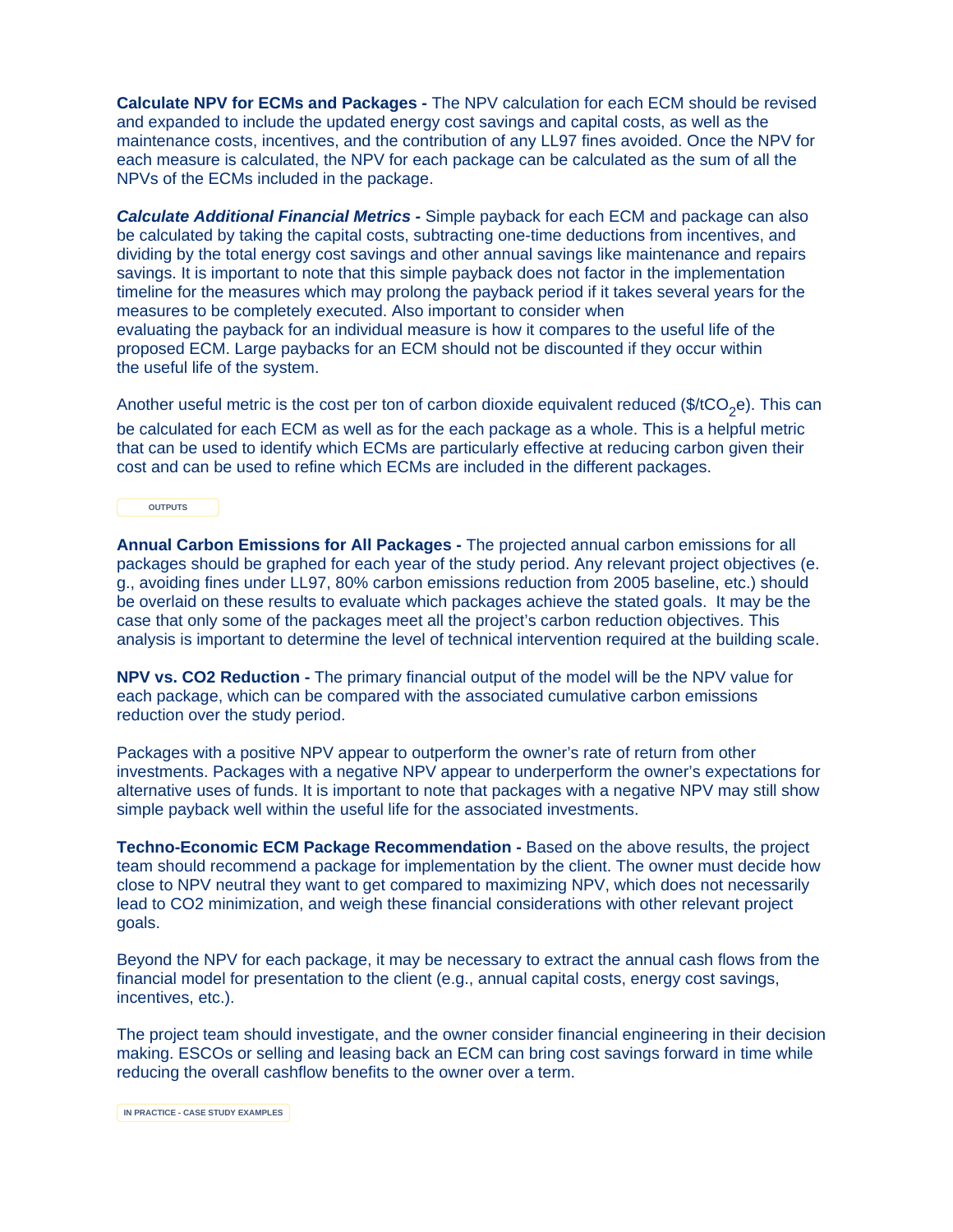**Calculate NPV for ECMs and Packages -** The NPV calculation for each ECM should be revised and expanded to include the updated energy cost savings and capital costs, as well as the maintenance costs, incentives, and the contribution of any LL97 fines avoided. Once the NPV for each measure is calculated, the NPV for each package can be calculated as the sum of all the NPVs of the ECMs included in the package.

**Calculate Additional Financial Metrics -** Simple payback for each ECM and package can also be calculated by taking the capital costs, subtracting one-time deductions from incentives, and dividing by the total energy cost savings and other annual savings like maintenance and repairs savings. It is important to note that this simple payback does not factor in the implementation timeline for the measures which may prolong the payback period if it takes several years for the measures to be completely executed. Also important to consider when evaluating the payback for an individual measure is how it compares to the useful life of the proposed ECM. Large paybacks for an ECM should not be discounted if they occur within the useful life of the system.

Another useful metric is the cost per ton of carbon dioxide equivalent reduced  $$(\text{*(tCO}_e)$ . This can

be calculated for each ECM as well as for the each package as a whole. This is a helpful metric that can be used to identify which ECMs are particularly effective at reducing carbon given their cost and can be used to refine which ECMs are included in the different packages.

**OUTPUTS**

**Annual Carbon Emissions for All Packages -** The projected annual carbon emissions for all packages should be graphed for each year of the study period. Any relevant project objectives (e. g., avoiding fines under LL97, 80% carbon emissions reduction from 2005 baseline, etc.) should be overlaid on these results to evaluate which packages achieve the stated goals. It may be the case that only some of the packages meet all the project's carbon reduction objectives. This analysis is important to determine the level of technical intervention required at the building scale.

**NPV vs. CO2 Reduction -** The primary financial output of the model will be the NPV value for each package, which can be compared with the associated cumulative carbon emissions reduction over the study period.

Packages with a positive NPV appear to outperform the owner's rate of return from other investments. Packages with a negative NPV appear to underperform the owner's expectations for alternative uses of funds. It is important to note that packages with a negative NPV may still show simple payback well within the useful life for the associated investments.

**Techno-Economic ECM Package Recommendation -** Based on the above results, the project team should recommend a package for implementation by the client. The owner must decide how close to NPV neutral they want to get compared to maximizing NPV, which does not necessarily lead to CO2 minimization, and weigh these financial considerations with other relevant project goals.

Beyond the NPV for each package, it may be necessary to extract the annual cash flows from the financial model for presentation to the client (e.g., annual capital costs, energy cost savings, incentives, etc.).

The project team should investigate, and the owner consider financial engineering in their decision making. ESCOs or selling and leasing back an ECM can bring cost savings forward in time while reducing the overall cashflow benefits to the owner over a term.

**IN PRACTICE - CASE STUDY EXAMPLES**